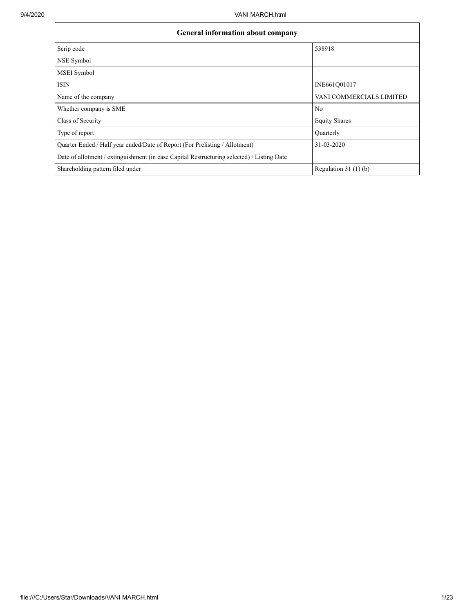| <b>General information about company</b>                                                   |                          |
|--------------------------------------------------------------------------------------------|--------------------------|
| Scrip code                                                                                 | 538918                   |
| NSE Symbol                                                                                 |                          |
| MSEI Symbol                                                                                |                          |
| <b>ISIN</b>                                                                                | INE661Q01017             |
| Name of the company                                                                        | VANI COMMERCIALS LIMITED |
| Whether company is SME                                                                     | No                       |
| Class of Security                                                                          | <b>Equity Shares</b>     |
| Type of report                                                                             | Quarterly                |
| Quarter Ended / Half year ended/Date of Report (For Prelisting / Allotment)                | 31-03-2020               |
| Date of allotment / extinguishment (in case Capital Restructuring selected) / Listing Date |                          |
| Shareholding pattern filed under                                                           | Regulation $31(1)(b)$    |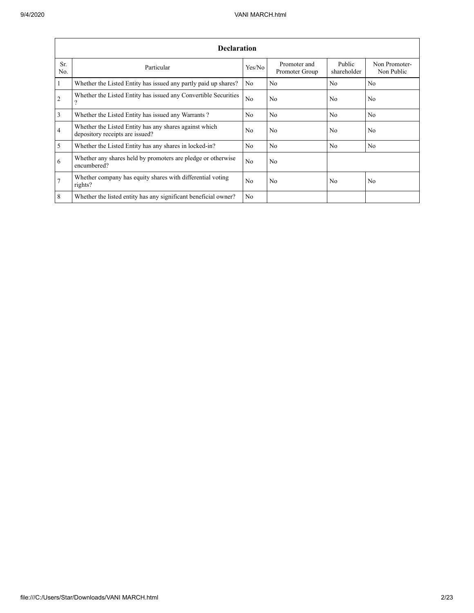|                 | <b>Declaration</b>                                                                        |                |                                |                       |                             |  |  |  |  |  |  |  |  |
|-----------------|-------------------------------------------------------------------------------------------|----------------|--------------------------------|-----------------------|-----------------------------|--|--|--|--|--|--|--|--|
| Sr.<br>No.      | Particular                                                                                | Yes/No         | Promoter and<br>Promoter Group | Public<br>shareholder | Non Promoter-<br>Non Public |  |  |  |  |  |  |  |  |
| $\mathbf{1}$    | Whether the Listed Entity has issued any partly paid up shares?                           | No             | N <sub>o</sub>                 | No                    | N <sub>o</sub>              |  |  |  |  |  |  |  |  |
| 2               | Whether the Listed Entity has issued any Convertible Securities<br>?                      | No             | No                             | No                    | No                          |  |  |  |  |  |  |  |  |
| $\overline{3}$  | Whether the Listed Entity has issued any Warrants?                                        | N <sub>0</sub> | N <sub>0</sub>                 | N <sub>0</sub>        | No                          |  |  |  |  |  |  |  |  |
| $\overline{4}$  | Whether the Listed Entity has any shares against which<br>depository receipts are issued? | No             | No                             | N <sub>0</sub>        | No                          |  |  |  |  |  |  |  |  |
| 5               | Whether the Listed Entity has any shares in locked-in?                                    | No             | No                             | N <sub>0</sub>        | No                          |  |  |  |  |  |  |  |  |
| 6               | Whether any shares held by promoters are pledge or otherwise<br>encumbered?               | No             | No                             |                       |                             |  |  |  |  |  |  |  |  |
| $7\phantom{.0}$ | Whether company has equity shares with differential voting<br>rights?                     | No             | No                             | No                    | No                          |  |  |  |  |  |  |  |  |
| 8               | Whether the listed entity has any significant beneficial owner?                           | N <sub>0</sub> |                                |                       |                             |  |  |  |  |  |  |  |  |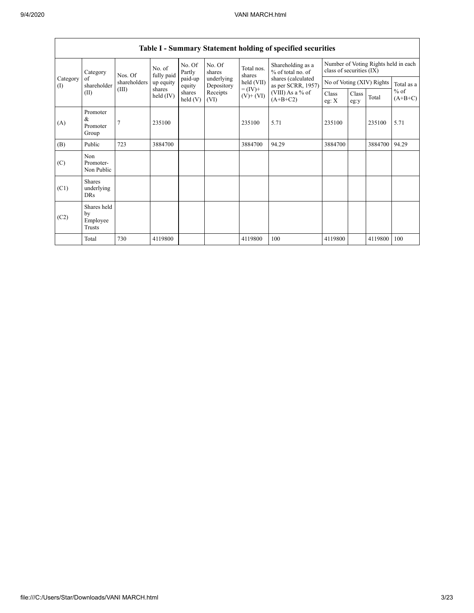|                 | Category                                  | Nos. Of      | No. of<br>fully paid | No. Of<br>Partly     | No. Of<br>shares         | Total nos.<br>shares         | Shareholding as a<br>% of total no. of   |                  | Number of Voting Rights held in each<br>class of securities (IX) |         |                     |  |
|-----------------|-------------------------------------------|--------------|----------------------|----------------------|--------------------------|------------------------------|------------------------------------------|------------------|------------------------------------------------------------------|---------|---------------------|--|
| Category<br>(I) | of<br>shareholder                         | shareholders | up equity            | paid-up<br>equity    | underlying<br>Depository | held (VII)                   | shares (calculated<br>as per SCRR, 1957) |                  | No of Voting (XIV) Rights                                        |         | Total as a          |  |
|                 | (II)                                      | (III)        | shares<br>held (IV)  | shares<br>held $(V)$ | Receipts<br>(VI)         | $= (IV) +$<br>$(V)$ + $(VI)$ | (VIII) As a % of<br>$(A+B+C2)$           | Class<br>eg: $X$ | Class<br>eg:y                                                    | Total   | $%$ of<br>$(A+B+C)$ |  |
| (A)             | Promoter<br>&<br>Promoter<br>Group        |              | 235100               |                      |                          | 235100                       | 5.71                                     | 235100           |                                                                  | 235100  | 5.71                |  |
| (B)             | Public                                    | 723          | 3884700              |                      |                          | 3884700                      | 94.29                                    | 3884700          |                                                                  | 3884700 | 94.29               |  |
| (C)             | Non<br>Promoter-<br>Non Public            |              |                      |                      |                          |                              |                                          |                  |                                                                  |         |                     |  |
| (C1)            | <b>Shares</b><br>underlying<br><b>DRs</b> |              |                      |                      |                          |                              |                                          |                  |                                                                  |         |                     |  |
| (C2)            | Shares held<br>by<br>Employee<br>Trusts   |              |                      |                      |                          |                              |                                          |                  |                                                                  |         |                     |  |
|                 | Total                                     | 730          | 4119800              |                      |                          | 4119800                      | 100                                      | 4119800          |                                                                  | 4119800 | 100                 |  |

## **Table I - Summary Statement holding of specified securities**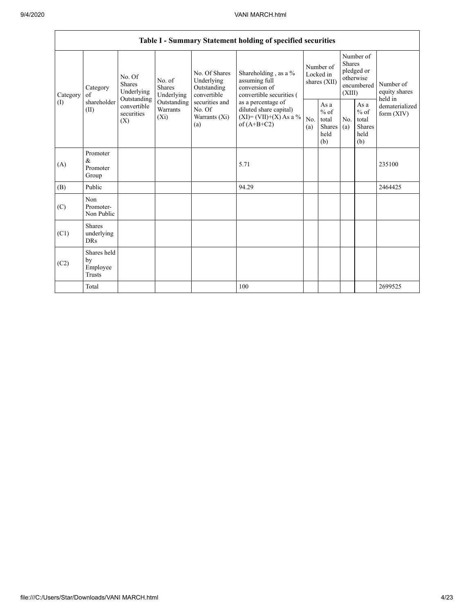|                 | Table I - Summary Statement holding of specified securities |                                                                                                                                                   |             |                                                                                                               |                                                                                                                                                                                |                                        |                                                  |                                                                               |                                                         |                                       |  |  |  |
|-----------------|-------------------------------------------------------------|---------------------------------------------------------------------------------------------------------------------------------------------------|-------------|---------------------------------------------------------------------------------------------------------------|--------------------------------------------------------------------------------------------------------------------------------------------------------------------------------|----------------------------------------|--------------------------------------------------|-------------------------------------------------------------------------------|---------------------------------------------------------|---------------------------------------|--|--|--|
| Category<br>(1) | Category<br>of<br>shareholder<br>(II)                       | No. Of<br>No. of<br><b>Shares</b><br>Shares<br>Underlying<br>Underlying<br>Outstanding<br>convertible<br>Warrants<br>securities<br>$(X_i)$<br>(X) |             | No. Of Shares<br>Underlying<br>Outstanding<br>convertible<br>securities and<br>No. Of<br>Warrants (Xi)<br>(a) | Shareholding, as a %<br>assuming full<br>conversion of<br>convertible securities (<br>as a percentage of<br>diluted share capital)<br>$(XI)=(VII)+(X) As a %$<br>of $(A+B+C2)$ | Number of<br>Locked in<br>shares (XII) |                                                  | Number of<br><b>Shares</b><br>pledged or<br>otherwise<br>encumbered<br>(XIII) |                                                         | Number of<br>equity shares<br>held in |  |  |  |
|                 |                                                             |                                                                                                                                                   | Outstanding |                                                                                                               |                                                                                                                                                                                | No.<br>(a)                             | As a<br>$%$ of<br>total<br>Shares<br>held<br>(b) | No.<br>(a)                                                                    | As a<br>$%$ of<br>total<br><b>Shares</b><br>held<br>(b) | dematerialized<br>form $(XIV)$        |  |  |  |
| (A)             | Promoter<br>&<br>Promoter<br>Group                          |                                                                                                                                                   |             |                                                                                                               | 5.71                                                                                                                                                                           |                                        |                                                  |                                                                               |                                                         | 235100                                |  |  |  |
| (B)             | Public                                                      |                                                                                                                                                   |             |                                                                                                               | 94.29                                                                                                                                                                          |                                        |                                                  |                                                                               |                                                         | 2464425                               |  |  |  |
| (C)             | Non<br>Promoter-<br>Non Public                              |                                                                                                                                                   |             |                                                                                                               |                                                                                                                                                                                |                                        |                                                  |                                                                               |                                                         |                                       |  |  |  |
| (C1)            | <b>Shares</b><br>underlying<br><b>DRs</b>                   |                                                                                                                                                   |             |                                                                                                               |                                                                                                                                                                                |                                        |                                                  |                                                                               |                                                         |                                       |  |  |  |
| (C2)            | Shares held<br>by<br>Employee<br>Trusts                     |                                                                                                                                                   |             |                                                                                                               |                                                                                                                                                                                |                                        |                                                  |                                                                               |                                                         |                                       |  |  |  |
|                 | Total                                                       |                                                                                                                                                   |             |                                                                                                               | 100                                                                                                                                                                            |                                        |                                                  |                                                                               |                                                         | 2699525                               |  |  |  |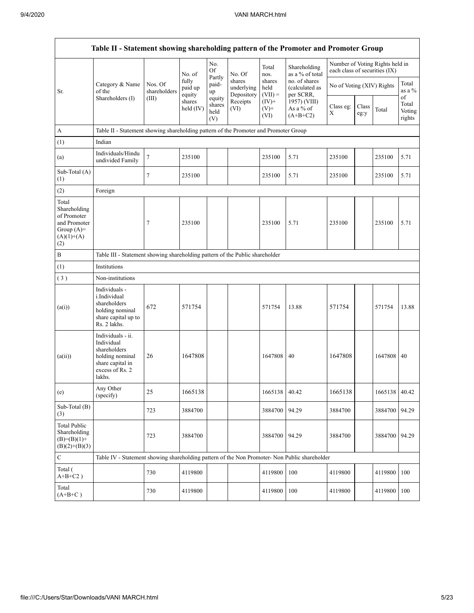|                                                                                             | Table II - Statement showing shareholding pattern of the Promoter and Promoter Group                                |                                                                              |                            |                                 |                                    |                             |                                              |                               |               |                                 |                                 |  |  |
|---------------------------------------------------------------------------------------------|---------------------------------------------------------------------------------------------------------------------|------------------------------------------------------------------------------|----------------------------|---------------------------------|------------------------------------|-----------------------------|----------------------------------------------|-------------------------------|---------------|---------------------------------|---------------------------------|--|--|
|                                                                                             |                                                                                                                     |                                                                              | No. of                     | No.<br>Of                       | No. Of                             | Total<br>nos.               | Shareholding<br>as a % of total              | each class of securities (IX) |               | Number of Voting Rights held in |                                 |  |  |
| Sr.                                                                                         | Category & Name<br>of the                                                                                           | Nos. Of<br>shareholders                                                      | fully<br>paid up<br>equity | Partly<br>paid-<br>up           | shares<br>underlying<br>Depository | shares<br>held<br>$(VII) =$ | no. of shares<br>(calculated as<br>per SCRR, | No of Voting (XIV) Rights     |               |                                 | Total<br>as a %                 |  |  |
|                                                                                             | Shareholders (I)                                                                                                    | (III)                                                                        | shares<br>held $(IV)$      | equity<br>shares<br>held<br>(V) | Receipts<br>(VI)                   | $(IV)$ +<br>$(V)$ +<br>(VI) | 1957) (VIII)<br>As a % of<br>$(A+B+C2)$      | Class eg:<br>$\mathbf X$      | Class<br>eg:y | Total                           | of<br>Total<br>Voting<br>rights |  |  |
| $\boldsymbol{A}$                                                                            | Table II - Statement showing shareholding pattern of the Promoter and Promoter Group                                |                                                                              |                            |                                 |                                    |                             |                                              |                               |               |                                 |                                 |  |  |
| (1)                                                                                         | Indian                                                                                                              |                                                                              |                            |                                 |                                    |                             |                                              |                               |               |                                 |                                 |  |  |
| (a)                                                                                         | Individuals/Hindu<br>undivided Family                                                                               | $\boldsymbol{7}$                                                             | 235100                     |                                 |                                    | 235100                      | 5.71                                         | 235100                        |               | 235100                          | 5.71                            |  |  |
| Sub-Total (A)<br>(1)                                                                        |                                                                                                                     | 7                                                                            | 235100                     |                                 |                                    | 235100                      | 5.71                                         | 235100                        |               | 235100                          | 5.71                            |  |  |
| (2)                                                                                         | Foreign                                                                                                             |                                                                              |                            |                                 |                                    |                             |                                              |                               |               |                                 |                                 |  |  |
| Total<br>Shareholding<br>of Promoter<br>and Promoter<br>Group $(A)=$<br>$(A)(1)+(A)$<br>(2) |                                                                                                                     | 7                                                                            | 235100                     |                                 |                                    | 235100                      | 5.71                                         | 235100                        |               | 235100                          | 5.71                            |  |  |
| $\, {\bf B}$                                                                                |                                                                                                                     | Table III - Statement showing shareholding pattern of the Public shareholder |                            |                                 |                                    |                             |                                              |                               |               |                                 |                                 |  |  |
| (1)                                                                                         | Institutions                                                                                                        |                                                                              |                            |                                 |                                    |                             |                                              |                               |               |                                 |                                 |  |  |
| (3)                                                                                         | Non-institutions                                                                                                    |                                                                              |                            |                                 |                                    |                             |                                              |                               |               |                                 |                                 |  |  |
| (a(i))                                                                                      | Individuals -<br>i.Individual<br>shareholders<br>holding nominal<br>share capital up to<br>Rs. 2 lakhs.             | 672                                                                          | 571754                     |                                 |                                    | 571754                      | 13.88                                        | 571754                        |               | 571754                          | 13.88                           |  |  |
| (a(ii))                                                                                     | Individuals - ii.<br>Individual<br>shareholders<br>holding nominal<br>share capital in<br>excess of Rs. 2<br>lakhs. | 26                                                                           | 1647808                    |                                 |                                    | 1647808                     | 40                                           | 1647808                       |               | 1647808                         | 40                              |  |  |
| (e)                                                                                         | Any Other<br>(specify)                                                                                              | 25                                                                           | 1665138                    |                                 |                                    | 1665138 40.42               |                                              | 1665138                       |               | 1665138 40.42                   |                                 |  |  |
| Sub-Total (B)<br>(3)                                                                        |                                                                                                                     | 723                                                                          | 3884700                    |                                 |                                    | 3884700                     | 94.29                                        | 3884700                       |               | 3884700                         | 94.29                           |  |  |
| <b>Total Public</b><br>Shareholding<br>$(B)=(B)(1)+$<br>$(B)(2)+(B)(3)$                     |                                                                                                                     | 723                                                                          | 3884700                    |                                 |                                    | 3884700                     | 94.29                                        | 3884700                       |               | 3884700 94.29                   |                                 |  |  |
| ${\bf C}$                                                                                   | Table IV - Statement showing shareholding pattern of the Non Promoter- Non Public shareholder                       |                                                                              |                            |                                 |                                    |                             |                                              |                               |               |                                 |                                 |  |  |
| Total (<br>$A+B+C2$ )                                                                       |                                                                                                                     | 730                                                                          | 4119800                    |                                 |                                    | 4119800                     | 100                                          | 4119800                       |               | 4119800                         | 100                             |  |  |
| Total<br>$(A+B+C)$                                                                          |                                                                                                                     | 730                                                                          | 4119800                    |                                 |                                    | 4119800                     | 100                                          | 4119800                       |               | 4119800 100                     |                                 |  |  |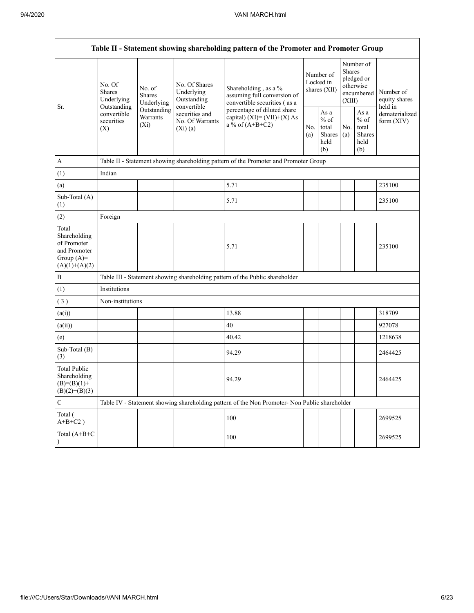| Table II - Statement showing shareholding pattern of the Promoter and Promoter Group    |                                                                                              |                                       |                                                                |                                                                                               |            |                                                  |            |                                                                               |                                       |  |  |  |
|-----------------------------------------------------------------------------------------|----------------------------------------------------------------------------------------------|---------------------------------------|----------------------------------------------------------------|-----------------------------------------------------------------------------------------------|------------|--------------------------------------------------|------------|-------------------------------------------------------------------------------|---------------------------------------|--|--|--|
| Sr.                                                                                     | No. Of<br>Shares<br>Underlying<br>Outstanding<br>convertible<br>securities<br>$(X_i)$<br>(X) | No. of<br><b>Shares</b><br>Underlying | No. Of Shares<br>Underlying<br>Outstanding                     | Shareholding, as a %<br>assuming full conversion of<br>convertible securities (as a           |            | Number of<br>Locked in<br>shares (XII)           |            | Number of<br><b>Shares</b><br>pledged or<br>otherwise<br>encumbered<br>(XIII) | Number of<br>equity shares<br>held in |  |  |  |
|                                                                                         |                                                                                              | Outstanding<br>Warrants               | convertible<br>securities and<br>No. Of Warrants<br>$(X_i)(a)$ | percentage of diluted share<br>capital) $(XI) = (VII)+(X) As$<br>a % of $(A+B+C2)$            | No.<br>(a) | As a<br>$%$ of<br>total<br>Shares<br>held<br>(b) | No.<br>(a) | As $\mathbf a$<br>$%$ of<br>total<br><b>Shares</b><br>held<br>(b)             | dematerialized<br>form $(XIV)$        |  |  |  |
| A                                                                                       |                                                                                              |                                       |                                                                | Table II - Statement showing shareholding pattern of the Promoter and Promoter Group          |            |                                                  |            |                                                                               |                                       |  |  |  |
| (1)                                                                                     | Indian                                                                                       |                                       |                                                                |                                                                                               |            |                                                  |            |                                                                               |                                       |  |  |  |
| (a)                                                                                     |                                                                                              |                                       |                                                                | 5.71                                                                                          |            |                                                  |            |                                                                               | 235100                                |  |  |  |
| Sub-Total (A)<br>(1)                                                                    |                                                                                              |                                       |                                                                | 5.71                                                                                          |            |                                                  |            |                                                                               | 235100                                |  |  |  |
| (2)                                                                                     | Foreign                                                                                      |                                       |                                                                |                                                                                               |            |                                                  |            |                                                                               |                                       |  |  |  |
| Total<br>Shareholding<br>of Promoter<br>and Promoter<br>Group $(A)=$<br>$(A)(1)+(A)(2)$ |                                                                                              |                                       |                                                                | 5.71                                                                                          |            |                                                  |            |                                                                               | 235100                                |  |  |  |
| $\, {\bf B}$                                                                            |                                                                                              |                                       |                                                                | Table III - Statement showing shareholding pattern of the Public shareholder                  |            |                                                  |            |                                                                               |                                       |  |  |  |
| (1)                                                                                     | Institutions                                                                                 |                                       |                                                                |                                                                                               |            |                                                  |            |                                                                               |                                       |  |  |  |
| (3)                                                                                     | Non-institutions                                                                             |                                       |                                                                |                                                                                               |            |                                                  |            |                                                                               |                                       |  |  |  |
| (a(i))                                                                                  |                                                                                              |                                       |                                                                | 13.88                                                                                         |            |                                                  |            |                                                                               | 318709                                |  |  |  |
| (a(ii))                                                                                 |                                                                                              |                                       |                                                                | 40                                                                                            |            |                                                  |            |                                                                               | 927078                                |  |  |  |
| (e)                                                                                     |                                                                                              |                                       |                                                                | 40.42                                                                                         |            |                                                  |            |                                                                               | 1218638                               |  |  |  |
| Sub-Total (B)<br>(3)                                                                    |                                                                                              |                                       |                                                                | 94.29                                                                                         |            |                                                  |            |                                                                               | 2464425                               |  |  |  |
| <b>Total Public</b><br>Shareholding<br>$(B)= (B)(1) +$<br>$(B)(2)+(B)(3)$               |                                                                                              |                                       |                                                                | 94.29                                                                                         |            |                                                  |            |                                                                               | 2464425                               |  |  |  |
| $\mathbf C$                                                                             |                                                                                              |                                       |                                                                | Table IV - Statement showing shareholding pattern of the Non Promoter- Non Public shareholder |            |                                                  |            |                                                                               |                                       |  |  |  |
| Total (<br>$A+B+C2$ )                                                                   |                                                                                              |                                       |                                                                | 100                                                                                           |            |                                                  |            |                                                                               | 2699525                               |  |  |  |
| Total (A+B+C                                                                            |                                                                                              |                                       |                                                                | 100                                                                                           |            |                                                  |            |                                                                               | 2699525                               |  |  |  |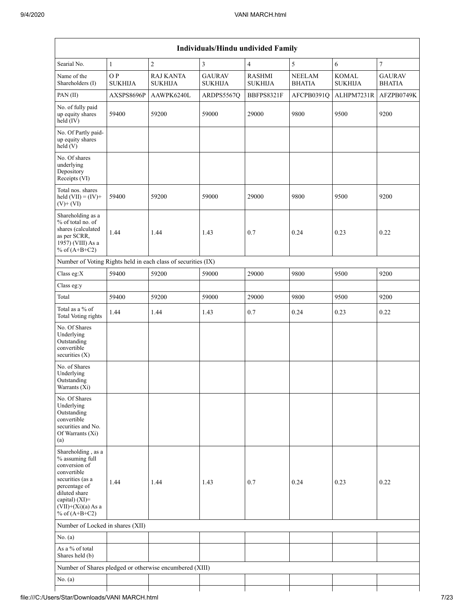|                                                                                                                                                                                             |                       |                                                               | Individuals/Hindu undivided Family |                                 |                                |                                |                                |
|---------------------------------------------------------------------------------------------------------------------------------------------------------------------------------------------|-----------------------|---------------------------------------------------------------|------------------------------------|---------------------------------|--------------------------------|--------------------------------|--------------------------------|
| Searial No.                                                                                                                                                                                 | $\,1\,$               | $\overline{c}$                                                | $\mathfrak{Z}$                     | $\overline{4}$                  | $\mathfrak{s}$                 | $\sqrt{6}$                     | $\overline{7}$                 |
| Name of the<br>Shareholders (I)                                                                                                                                                             | O P<br><b>SUKHIJA</b> | <b>RAJ KANTA</b><br><b>SUKHIJA</b>                            | <b>GAURAV</b><br><b>SUKHIJA</b>    | <b>RASHMI</b><br><b>SUKHIJA</b> | <b>NEELAM</b><br><b>BHATIA</b> | <b>KOMAL</b><br><b>SUKHIJA</b> | <b>GAURAV</b><br><b>BHATIA</b> |
| PAN(II)                                                                                                                                                                                     | AXSPS8696P            | AAWPK6240L                                                    | ARDPS5567Q                         | BBFPS8321F                      | AFCPB0391O                     | ALHPM7231R                     | AFZPB0749K                     |
| No. of fully paid<br>up equity shares<br>$held$ (IV)                                                                                                                                        | 59400                 | 59200                                                         | 59000                              | 29000                           | 9800                           | 9500                           | 9200                           |
| No. Of Partly paid-<br>up equity shares<br>held(V)                                                                                                                                          |                       |                                                               |                                    |                                 |                                |                                |                                |
| No. Of shares<br>underlying<br>Depository<br>Receipts (VI)                                                                                                                                  |                       |                                                               |                                    |                                 |                                |                                |                                |
| Total nos. shares<br>held $(VII) = (IV) +$<br>$(V)$ + $(VI)$                                                                                                                                | 59400                 | 59200                                                         | 59000                              | 29000                           | 9800                           | 9500                           | 9200                           |
| Shareholding as a<br>% of total no. of<br>shares (calculated<br>as per SCRR,<br>1957) (VIII) As a<br>% of $(A+B+C2)$                                                                        | 1.44                  | 1.44                                                          | 1.43                               | 0.7                             | 0.24                           | 0.23                           | 0.22                           |
|                                                                                                                                                                                             |                       | Number of Voting Rights held in each class of securities (IX) |                                    |                                 |                                |                                |                                |
| Class eg:X                                                                                                                                                                                  | 59400                 | 59200                                                         | 59000                              | 29000                           | 9800                           | 9500                           | 9200                           |
| Class eg:y                                                                                                                                                                                  |                       |                                                               |                                    |                                 |                                |                                |                                |
| Total                                                                                                                                                                                       | 59400                 | 59200                                                         | 59000                              | 29000                           | 9800                           | 9500                           | 9200                           |
| Total as a % of<br><b>Total Voting rights</b>                                                                                                                                               | 1.44                  | 1.44                                                          | 1.43                               | 0.7                             | 0.24                           | 0.23                           | 0.22                           |
| No. Of Shares<br>Underlying<br>Outstanding<br>convertible<br>securities $(X)$                                                                                                               |                       |                                                               |                                    |                                 |                                |                                |                                |
| No. of Shares<br>Underlying<br>Outstanding<br>Warrants (X1)                                                                                                                                 |                       |                                                               |                                    |                                 |                                |                                |                                |
| No. Of Shares<br>Underlying<br>Outstanding<br>convertible<br>securities and No.<br>Of Warrants (Xi)<br>(a)                                                                                  |                       |                                                               |                                    |                                 |                                |                                |                                |
| Shareholding, as a<br>% assuming full<br>conversion of<br>convertible<br>securities (as a<br>percentage of<br>diluted share<br>capital) $(XI)$ =<br>$(VII)+(Xi)(a)$ As a<br>% of $(A+B+C2)$ | 1.44                  | 1.44                                                          | 1.43                               | 0.7                             | 0.24                           | 0.23                           | 0.22                           |
| Number of Locked in shares (XII)                                                                                                                                                            |                       |                                                               |                                    |                                 |                                |                                |                                |
| No. (a)                                                                                                                                                                                     |                       |                                                               |                                    |                                 |                                |                                |                                |
| As a $\%$ of total<br>Shares held (b)                                                                                                                                                       |                       |                                                               |                                    |                                 |                                |                                |                                |
|                                                                                                                                                                                             |                       | Number of Shares pledged or otherwise encumbered (XIII)       |                                    |                                 |                                |                                |                                |
| No. (a)                                                                                                                                                                                     |                       |                                                               |                                    |                                 |                                |                                |                                |
|                                                                                                                                                                                             |                       |                                                               |                                    |                                 |                                |                                |                                |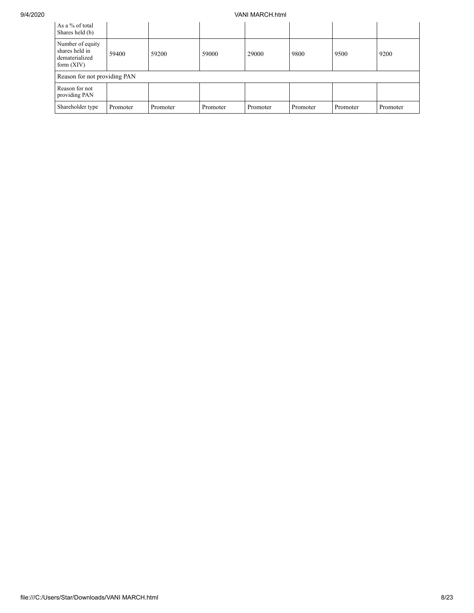## 9/4/2020 VANI MARCH.html

| As a % of total<br>Shares held (b)                                   |          |          |          |          |          |          |          |  |  |  |  |
|----------------------------------------------------------------------|----------|----------|----------|----------|----------|----------|----------|--|--|--|--|
| Number of equity<br>shares held in<br>dematerialized<br>form $(XIV)$ | 59400    | 59200    | 59000    | 29000    | 9800     | 9500     | 9200     |  |  |  |  |
| Reason for not providing PAN                                         |          |          |          |          |          |          |          |  |  |  |  |
| Reason for not<br>providing PAN                                      |          |          |          |          |          |          |          |  |  |  |  |
| Shareholder type                                                     | Promoter | Promoter | Promoter | Promoter | Promoter | Promoter | Promoter |  |  |  |  |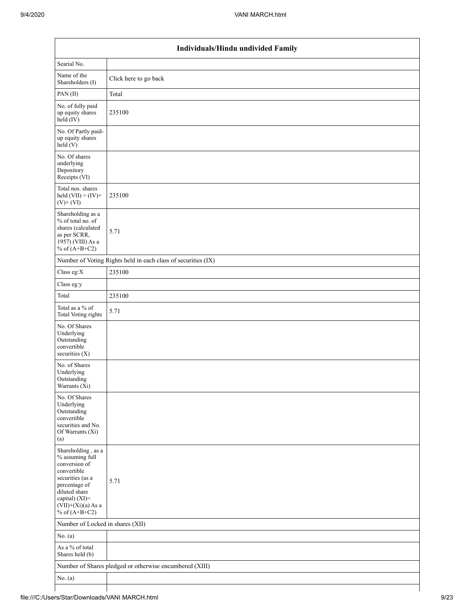|                                                                                                                                                                                          | Individuals/Hindu undivided Family                            |  |  |  |  |  |  |  |  |  |
|------------------------------------------------------------------------------------------------------------------------------------------------------------------------------------------|---------------------------------------------------------------|--|--|--|--|--|--|--|--|--|
| Searial No.                                                                                                                                                                              |                                                               |  |  |  |  |  |  |  |  |  |
| Name of the<br>Shareholders (I)                                                                                                                                                          | Click here to go back                                         |  |  |  |  |  |  |  |  |  |
| PAN(II)                                                                                                                                                                                  | Total                                                         |  |  |  |  |  |  |  |  |  |
| No. of fully paid<br>up equity shares<br>held (IV)                                                                                                                                       | 235100                                                        |  |  |  |  |  |  |  |  |  |
| No. Of Partly paid-<br>up equity shares<br>held(V)                                                                                                                                       |                                                               |  |  |  |  |  |  |  |  |  |
| No. Of shares<br>underlying<br>Depository<br>Receipts (VI)                                                                                                                               |                                                               |  |  |  |  |  |  |  |  |  |
| Total nos. shares<br>held $(VII) = (IV) +$<br>$(V)$ + $(VI)$                                                                                                                             | 235100                                                        |  |  |  |  |  |  |  |  |  |
| Shareholding as a<br>% of total no. of<br>shares (calculated<br>as per SCRR,<br>1957) (VIII) As a<br>% of $(A+B+C2)$                                                                     | 5.71                                                          |  |  |  |  |  |  |  |  |  |
|                                                                                                                                                                                          | Number of Voting Rights held in each class of securities (IX) |  |  |  |  |  |  |  |  |  |
| Class eg: $X$                                                                                                                                                                            | 235100                                                        |  |  |  |  |  |  |  |  |  |
| Class eg:y                                                                                                                                                                               |                                                               |  |  |  |  |  |  |  |  |  |
| Total                                                                                                                                                                                    | 235100                                                        |  |  |  |  |  |  |  |  |  |
| Total as a $\%$ of<br>Total Voting rights                                                                                                                                                | 5.71                                                          |  |  |  |  |  |  |  |  |  |
| No. Of Shares<br>Underlying<br>Outstanding<br>convertible<br>securities $(X)$                                                                                                            |                                                               |  |  |  |  |  |  |  |  |  |
| No. of Shares<br>Underlying<br>Outstanding<br>Warrants $(Xi)$                                                                                                                            |                                                               |  |  |  |  |  |  |  |  |  |
| No. Of Shares<br>Underlying<br>Outstanding<br>convertible<br>securities and No.<br>Of Warrants (Xi)<br>(a)                                                                               |                                                               |  |  |  |  |  |  |  |  |  |
| Shareholding, as a<br>% assuming full<br>conversion of<br>convertible<br>securities (as a<br>percentage of<br>diluted share<br>capital) (XI)=<br>$(VII)+(Xi)(a)$ As a<br>% of $(A+B+C2)$ | 5.71                                                          |  |  |  |  |  |  |  |  |  |
| Number of Locked in shares (XII)                                                                                                                                                         |                                                               |  |  |  |  |  |  |  |  |  |
| No. $(a)$                                                                                                                                                                                |                                                               |  |  |  |  |  |  |  |  |  |
| As a % of total<br>Shares held (b)                                                                                                                                                       |                                                               |  |  |  |  |  |  |  |  |  |
|                                                                                                                                                                                          | Number of Shares pledged or otherwise encumbered (XIII)       |  |  |  |  |  |  |  |  |  |
| No. $(a)$                                                                                                                                                                                |                                                               |  |  |  |  |  |  |  |  |  |
|                                                                                                                                                                                          |                                                               |  |  |  |  |  |  |  |  |  |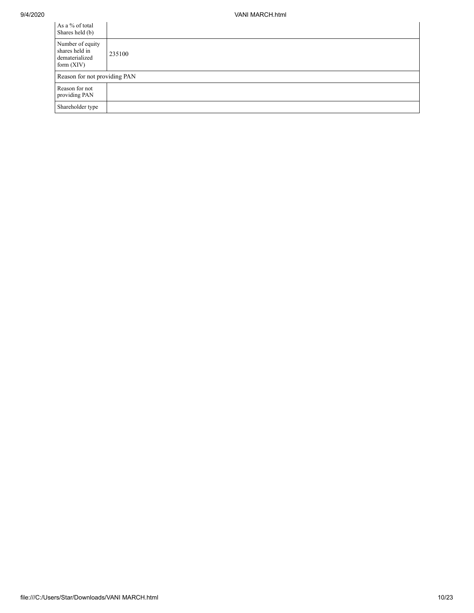| As a % of total<br>Shares held (b)                                   |                              |  |  |  |  |  |  |  |  |
|----------------------------------------------------------------------|------------------------------|--|--|--|--|--|--|--|--|
| Number of equity<br>shares held in<br>dematerialized<br>form $(XIV)$ | 235100                       |  |  |  |  |  |  |  |  |
|                                                                      | Reason for not providing PAN |  |  |  |  |  |  |  |  |
| Reason for not<br>providing PAN                                      |                              |  |  |  |  |  |  |  |  |
| Shareholder type                                                     |                              |  |  |  |  |  |  |  |  |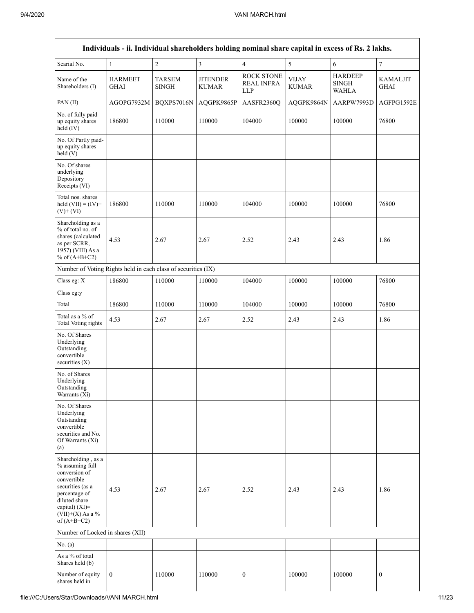| Individuals - ii. Individual shareholders holding nominal share capital in excess of Rs. 2 lakhs.                                                                                    |                               |                        |                                 |                                               |                              |                                                |                                |  |  |  |  |  |
|--------------------------------------------------------------------------------------------------------------------------------------------------------------------------------------|-------------------------------|------------------------|---------------------------------|-----------------------------------------------|------------------------------|------------------------------------------------|--------------------------------|--|--|--|--|--|
| Searial No.                                                                                                                                                                          | $\mathbf{1}$                  | $\overline{c}$         | $\overline{3}$                  | $\overline{4}$                                | 5                            | 6                                              | $\boldsymbol{7}$               |  |  |  |  |  |
| Name of the<br>Shareholders (I)                                                                                                                                                      | <b>HARMEET</b><br><b>GHAI</b> | TARSEM<br><b>SINGH</b> | <b>JITENDER</b><br><b>KUMAR</b> | <b>ROCK STONE</b><br><b>REAL INFRA</b><br>LLP | <b>VIJAY</b><br><b>KUMAR</b> | <b>HARDEEP</b><br><b>SINGH</b><br><b>WAHLA</b> | <b>KAMALJIT</b><br><b>GHAI</b> |  |  |  |  |  |
| PAN (II)                                                                                                                                                                             | AGOPG7932M                    | BQXPS7016N             | AQGPK9865P                      | AASFR2360Q                                    | AQGPK9864N                   | AARPW7993D                                     | AGFPG1592E                     |  |  |  |  |  |
| No. of fully paid<br>up equity shares<br>held (IV)                                                                                                                                   | 186800                        | 110000                 | 110000                          | 104000                                        | 100000                       | 100000                                         | 76800                          |  |  |  |  |  |
| No. Of Partly paid-<br>up equity shares<br>held(V)                                                                                                                                   |                               |                        |                                 |                                               |                              |                                                |                                |  |  |  |  |  |
| No. Of shares<br>underlying<br>Depository<br>Receipts (VI)                                                                                                                           |                               |                        |                                 |                                               |                              |                                                |                                |  |  |  |  |  |
| Total nos. shares<br>held $(VII) = (IV) +$<br>$(V)$ + $(VI)$                                                                                                                         | 186800                        | 110000                 | 110000                          | 104000                                        | 100000                       | 100000                                         | 76800                          |  |  |  |  |  |
| Shareholding as a<br>% of total no. of<br>shares (calculated<br>as per SCRR,<br>1957) (VIII) As a<br>% of $(A+B+C2)$                                                                 | 4.53                          | 2.67                   | 2.67                            | 2.52                                          | 2.43                         | 2.43                                           | 1.86                           |  |  |  |  |  |
| Number of Voting Rights held in each class of securities (IX)                                                                                                                        |                               |                        |                                 |                                               |                              |                                                |                                |  |  |  |  |  |
| Class eg: X                                                                                                                                                                          | 186800                        | 110000                 | 110000                          | 104000                                        | 100000                       | 100000                                         | 76800                          |  |  |  |  |  |
| Class eg:y                                                                                                                                                                           |                               |                        |                                 |                                               |                              |                                                |                                |  |  |  |  |  |
| Total                                                                                                                                                                                | 186800                        | 110000                 | 110000                          | 104000                                        | 100000                       | 100000                                         | 76800                          |  |  |  |  |  |
| Total as a % of<br><b>Total Voting rights</b>                                                                                                                                        | 4.53                          | 2.67                   | 2.67                            | 2.52                                          | 2.43                         | 2.43                                           | 1.86                           |  |  |  |  |  |
| No. Of Shares<br>Underlying<br>Outstanding<br>convertible<br>securities $(X)$                                                                                                        |                               |                        |                                 |                                               |                              |                                                |                                |  |  |  |  |  |
| No. of Shares<br>Underlying<br>Outstanding<br>Warrants (Xi)                                                                                                                          |                               |                        |                                 |                                               |                              |                                                |                                |  |  |  |  |  |
| No. Of Shares<br>Underlying<br>Outstanding<br>convertible<br>securities and No.<br>Of Warrants (Xi)<br>(a)                                                                           |                               |                        |                                 |                                               |                              |                                                |                                |  |  |  |  |  |
| Shareholding, as a<br>% assuming full<br>conversion of<br>convertible<br>securities (as a<br>percentage of<br>diluted share<br>capital) (XI)=<br>$(VII)+(X)$ As a %<br>of $(A+B+C2)$ | 4.53                          | 2.67                   | 2.67                            | 2.52                                          | 2.43                         | 2.43                                           | 1.86                           |  |  |  |  |  |
| Number of Locked in shares (XII)                                                                                                                                                     |                               |                        |                                 |                                               |                              |                                                |                                |  |  |  |  |  |
| No. $(a)$                                                                                                                                                                            |                               |                        |                                 |                                               |                              |                                                |                                |  |  |  |  |  |
| As a % of total<br>Shares held (b)                                                                                                                                                   |                               |                        |                                 |                                               |                              |                                                |                                |  |  |  |  |  |
| Number of equity<br>shares held in                                                                                                                                                   | $\mathbf{0}$                  | 110000                 | 110000                          | $\boldsymbol{0}$                              | 100000                       | 100000                                         | $\boldsymbol{0}$               |  |  |  |  |  |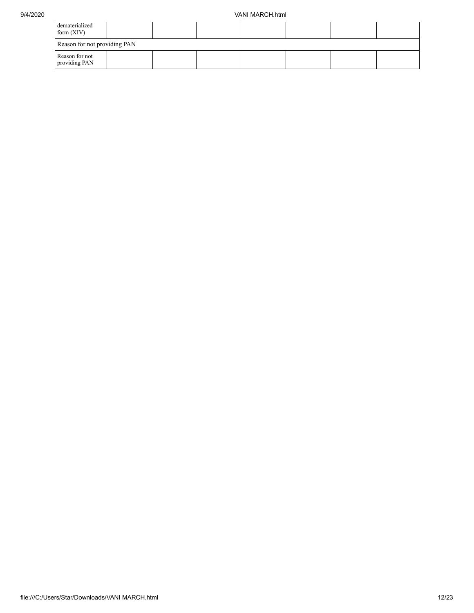| dematerialized<br>form $(XIV)$  |  |  |  |  |  |  |  |  |  |  |  |
|---------------------------------|--|--|--|--|--|--|--|--|--|--|--|
| Reason for not providing PAN    |  |  |  |  |  |  |  |  |  |  |  |
| Reason for not<br>providing PAN |  |  |  |  |  |  |  |  |  |  |  |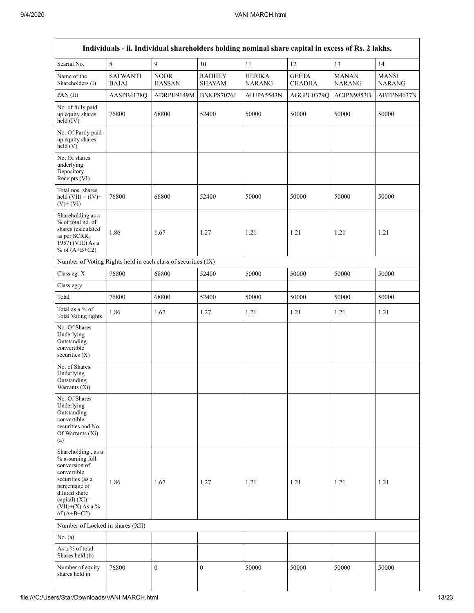| Searial No.                                                                                                                                                                          | $\,$ 8 $\,$                     | 9                            | 10                             | 11                             | 12                            | 13                            | 14                            |
|--------------------------------------------------------------------------------------------------------------------------------------------------------------------------------------|---------------------------------|------------------------------|--------------------------------|--------------------------------|-------------------------------|-------------------------------|-------------------------------|
| Name of the<br>Shareholders (I)                                                                                                                                                      | <b>SATWANTI</b><br><b>BAJAJ</b> | <b>NOOR</b><br><b>HASSAN</b> | <b>RADHEY</b><br><b>SHAYAM</b> | <b>HERIKA</b><br><b>NARANG</b> | <b>GEETA</b><br><b>CHADHA</b> | <b>MANAN</b><br><b>NARANG</b> | <b>MANSI</b><br><b>NARANG</b> |
| PAN(II)                                                                                                                                                                              | AASPB4178Q                      | ADRPH9149M                   | BNKPS7076J                     | AHJPA5543N                     | AGGPC0379Q                    | ACJPN9853B                    | ABTPN4637N                    |
| No. of fully paid<br>up equity shares<br>held (IV)                                                                                                                                   | 76800                           | 68800                        | 52400                          | 50000                          | 50000                         | 50000                         | 50000                         |
| No. Of Partly paid-<br>up equity shares<br>held(V)                                                                                                                                   |                                 |                              |                                |                                |                               |                               |                               |
| No. Of shares<br>underlying<br>Depository<br>Receipts (VI)                                                                                                                           |                                 |                              |                                |                                |                               |                               |                               |
| Total nos. shares<br>held $(VII) = (IV) +$<br>$(V)$ + $(VI)$                                                                                                                         | 76800                           | 68800                        | 52400                          | 50000                          | 50000                         | 50000                         | 50000                         |
| Shareholding as a<br>% of total no. of<br>shares (calculated<br>as per SCRR,<br>1957) (VIII) As a<br>% of $(A+B+C2)$                                                                 | 1.86                            | 1.67                         | 1.27                           | 1.21                           | 1.21                          | 1.21                          | 1.21                          |
| Number of Voting Rights held in each class of securities (IX)                                                                                                                        |                                 |                              |                                |                                |                               |                               |                               |
| Class eg: X                                                                                                                                                                          | 76800                           | 68800                        | 52400                          | 50000                          | 50000                         | 50000                         | 50000                         |
| Class eg:y                                                                                                                                                                           |                                 |                              |                                |                                |                               |                               |                               |
| Total                                                                                                                                                                                | 76800                           | 68800                        | 52400                          | 50000                          | 50000                         | 50000                         | 50000                         |
| Total as a % of<br>Total Voting rights                                                                                                                                               | 1.86                            | 1.67                         | 1.27                           | 1.21                           | 1.21                          | 1.21                          | 1.21                          |
| No. Of Shares<br>Underlying<br>Outstanding<br>convertible<br>securities (X)                                                                                                          |                                 |                              |                                |                                |                               |                               |                               |
| No. of Shares<br>Underlying<br>Outstanding<br>Warrants (Xi)                                                                                                                          |                                 |                              |                                |                                |                               |                               |                               |
| No. Of Shares<br>Underlying<br>Outstanding<br>convertible<br>securities and No.<br>Of Warrants (Xi)<br>(a)                                                                           |                                 |                              |                                |                                |                               |                               |                               |
| Shareholding, as a<br>% assuming full<br>conversion of<br>convertible<br>securities (as a<br>percentage of<br>diluted share<br>capital) (XI)=<br>$(VII)+(X)$ As a %<br>of $(A+B+C2)$ | 1.86                            | 1.67                         | 1.27                           | 1.21                           | 1.21                          | 1.21                          | 1.21                          |
| Number of Locked in shares (XII)                                                                                                                                                     |                                 |                              |                                |                                |                               |                               |                               |
| No. (a)                                                                                                                                                                              |                                 |                              |                                |                                |                               |                               |                               |
| As a % of total<br>Shares held (b)                                                                                                                                                   |                                 |                              |                                |                                |                               |                               |                               |
| Number of equity<br>shares held in                                                                                                                                                   | 76800                           | $\boldsymbol{0}$             | $\mathbf{0}$                   | 50000                          | 50000                         | 50000                         | 50000                         |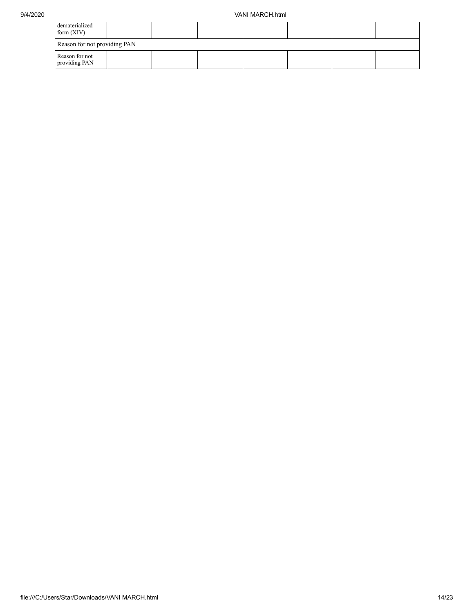| dematerialized<br>form $(XIV)$  |  |  |  |  |  |  |  |
|---------------------------------|--|--|--|--|--|--|--|
| Reason for not providing PAN    |  |  |  |  |  |  |  |
| Reason for not<br>providing PAN |  |  |  |  |  |  |  |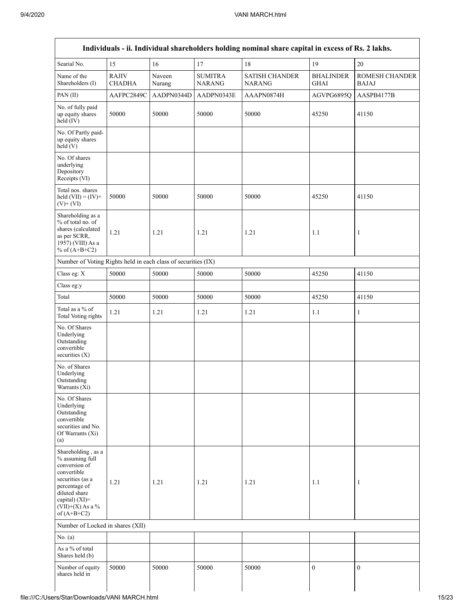|                                                                                                                                                                                         |                               |                  |                          | Individuals - ii. Individual shareholders holding nominal share capital in excess of Rs. 2 lakhs. |                                 |                         |
|-----------------------------------------------------------------------------------------------------------------------------------------------------------------------------------------|-------------------------------|------------------|--------------------------|---------------------------------------------------------------------------------------------------|---------------------------------|-------------------------|
| Searial No.                                                                                                                                                                             | 15                            | 16               | 17                       | 18                                                                                                | 19                              | 20                      |
| Name of the<br>Shareholders (I)                                                                                                                                                         | <b>RAJIV</b><br><b>CHADHA</b> | Naveen<br>Narang | <b>SUMITRA</b><br>NARANG | <b>SATISH CHANDER</b><br><b>NARANG</b>                                                            | <b>BHALINDER</b><br><b>GHAI</b> | ROMESH CHANDER<br>BAJAJ |
| PAN (II)                                                                                                                                                                                | AAFPC2849C                    | AADPN0344D       | AADPN0343E               | AAAPN0874H                                                                                        | AGVPG6895Q                      | AASPB4177B              |
| No. of fully paid<br>up equity shares<br>held (IV)                                                                                                                                      | 50000                         | 50000            | 50000                    | 50000                                                                                             | 45250                           | 41150                   |
| No. Of Partly paid-<br>up equity shares<br>held(V)                                                                                                                                      |                               |                  |                          |                                                                                                   |                                 |                         |
| No. Of shares<br>underlying<br>Depository<br>Receipts (VI)                                                                                                                              |                               |                  |                          |                                                                                                   |                                 |                         |
| Total nos. shares<br>held $(VII) = (IV) +$<br>$(V)$ + $(VI)$                                                                                                                            | 50000                         | 50000            | 50000                    | 50000                                                                                             | 45250                           | 41150                   |
| Shareholding as a<br>% of total no. of<br>shares (calculated<br>as per SCRR,<br>1957) (VIII) As a<br>% of $(A+B+C2)$                                                                    | 1.21                          | 1.21             | 1.21                     | 1.21                                                                                              | 1.1                             | $\mathbf{1}$            |
| Number of Voting Rights held in each class of securities (IX)                                                                                                                           |                               |                  |                          |                                                                                                   |                                 |                         |
| Class eg: X                                                                                                                                                                             | 50000                         | 50000            | 50000                    | 50000                                                                                             | 45250                           | 41150                   |
| Class eg:y                                                                                                                                                                              |                               |                  |                          |                                                                                                   |                                 |                         |
| Total                                                                                                                                                                                   | 50000                         | 50000            | 50000                    | 50000                                                                                             | 45250                           | 41150                   |
| Total as a % of<br><b>Total Voting rights</b>                                                                                                                                           | 1.21                          | 1.21             | 1.21                     | 1.21                                                                                              | 1.1                             | $\mathbf{1}$            |
| No. Of Shares<br>Underlying<br>Outstanding<br>convertible<br>securities (X)                                                                                                             |                               |                  |                          |                                                                                                   |                                 |                         |
| No. of Shares<br>Underlying<br>Outstanding<br>Warrants $(X_i)$                                                                                                                          |                               |                  |                          |                                                                                                   |                                 |                         |
| No. Of Shares<br>Underlying<br>Outstanding<br>convertible<br>securities and No.<br>Of Warrants (Xi)<br>(a)                                                                              |                               |                  |                          |                                                                                                   |                                 |                         |
| Shareholding, as a<br>% assuming full<br>conversion of<br>convertible<br>securities (as a<br>percentage of<br>diluted share<br>capital) $(XI)$ =<br>$(VII)+(X)$ As a %<br>of $(A+B+C2)$ | 1.21                          | 1.21             | 1.21                     | 1.21                                                                                              | 1.1                             | $\mathbf{1}$            |
| Number of Locked in shares (XII)                                                                                                                                                        |                               |                  |                          |                                                                                                   |                                 |                         |
| No. (a)                                                                                                                                                                                 |                               |                  |                          |                                                                                                   |                                 |                         |
| As a % of total<br>Shares held (b)                                                                                                                                                      |                               |                  |                          |                                                                                                   |                                 |                         |
| Number of equity<br>shares held in                                                                                                                                                      | 50000                         | 50000            | 50000                    | 50000                                                                                             | $\mathbf{0}$                    | $\mathbf{0}$            |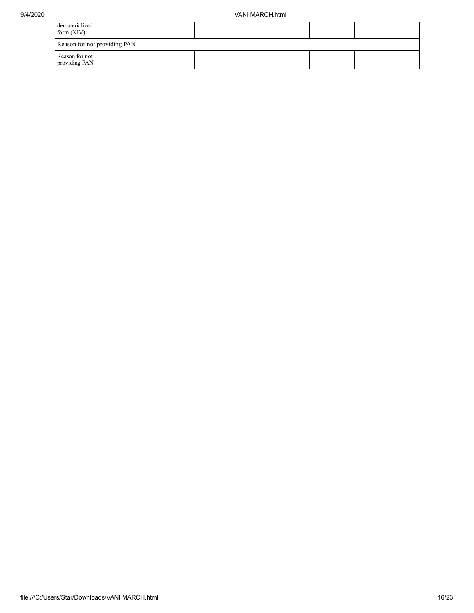| dematerialized<br>form $(XIV)$  |  |  |  |  |  |  |  |
|---------------------------------|--|--|--|--|--|--|--|
| Reason for not providing PAN    |  |  |  |  |  |  |  |
| Reason for not<br>providing PAN |  |  |  |  |  |  |  |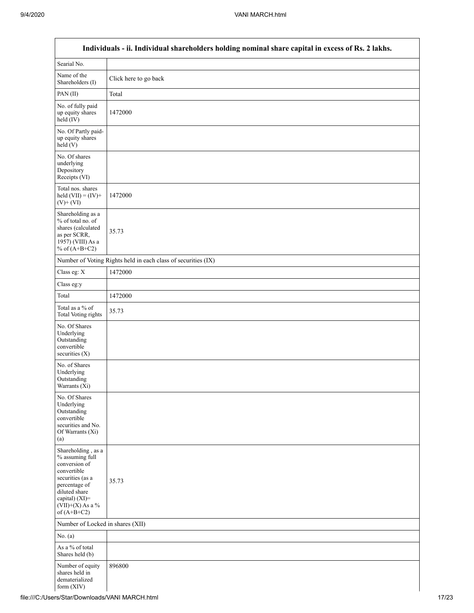$\mathsf{l}$ 

|                                                                                                                                                                                      | Individuals - ii. Individual shareholders holding nominal share capital in excess of Rs. 2 lakhs. |
|--------------------------------------------------------------------------------------------------------------------------------------------------------------------------------------|---------------------------------------------------------------------------------------------------|
| Searial No.                                                                                                                                                                          |                                                                                                   |
| Name of the<br>Shareholders (I)                                                                                                                                                      | Click here to go back                                                                             |
| PAN(II)                                                                                                                                                                              | Total                                                                                             |
| No. of fully paid<br>up equity shares<br>$\text{held}(\text{IV})$                                                                                                                    | 1472000                                                                                           |
| No. Of Partly paid-<br>up equity shares<br>held(V)                                                                                                                                   |                                                                                                   |
| No. Of shares<br>underlying<br>Depository<br>Receipts (VI)                                                                                                                           |                                                                                                   |
| Total nos. shares<br>held $(VII) = (IV) +$<br>$(V)$ + $(VI)$                                                                                                                         | 1472000                                                                                           |
| Shareholding as a<br>% of total no. of<br>shares (calculated<br>as per SCRR,<br>1957) (VIII) As a<br>% of $(A+B+C2)$                                                                 | 35.73                                                                                             |
|                                                                                                                                                                                      | Number of Voting Rights held in each class of securities (IX)                                     |
| Class eg: X                                                                                                                                                                          | 1472000                                                                                           |
| Class eg:y                                                                                                                                                                           |                                                                                                   |
| Total                                                                                                                                                                                | 1472000                                                                                           |
| Total as a % of<br><b>Total Voting rights</b>                                                                                                                                        | 35.73                                                                                             |
| No. Of Shares<br>Underlying<br>Outstanding<br>convertible<br>securities (X)                                                                                                          |                                                                                                   |
| No. of Shares<br>Underlying<br>Outstanding<br>Warrants (Xi)                                                                                                                          |                                                                                                   |
| No. Of Shares<br>Underlying<br>Outstanding<br>convertible<br>securities and No.<br>Of Warrants (Xi)<br>(a)                                                                           |                                                                                                   |
| Shareholding, as a<br>% assuming full<br>conversion of<br>convertible<br>securities (as a<br>percentage of<br>diluted share<br>capital) (XI)=<br>$(VII)+(X)$ As a %<br>of $(A+B+C2)$ | 35.73                                                                                             |
| Number of Locked in shares (XII)                                                                                                                                                     |                                                                                                   |
| No. $(a)$                                                                                                                                                                            |                                                                                                   |
| As a % of total<br>Shares held (b)                                                                                                                                                   |                                                                                                   |
| Number of equity<br>shares held in<br>dematerialized<br>form (XIV)                                                                                                                   | 896800                                                                                            |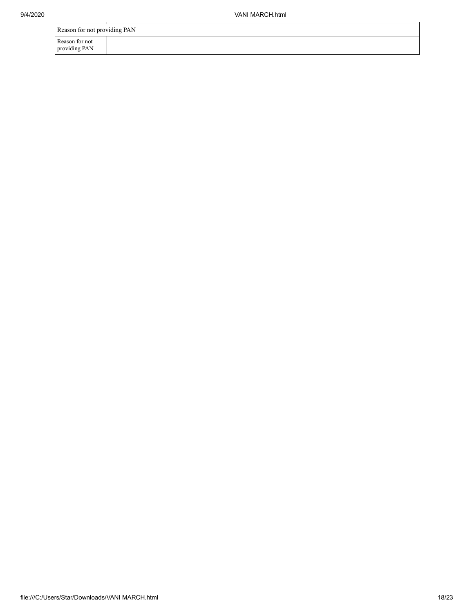| Reason for not providing PAN    |  |
|---------------------------------|--|
| Reason for not<br>providing PAN |  |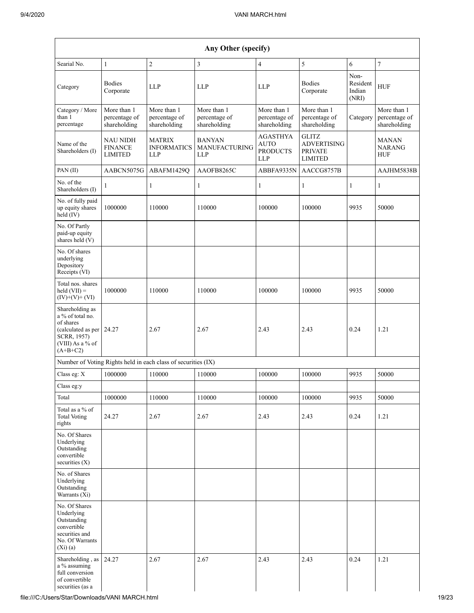| Searial No.                                                                                                                   | $\mathbf{1}$                                        | $\mathbf{2}$                                                  | 3                                             | 4                                                        | $\sqrt{5}$                                                             | 6                                   | 7                                            |
|-------------------------------------------------------------------------------------------------------------------------------|-----------------------------------------------------|---------------------------------------------------------------|-----------------------------------------------|----------------------------------------------------------|------------------------------------------------------------------------|-------------------------------------|----------------------------------------------|
| Category                                                                                                                      | <b>Bodies</b><br>Corporate                          | <b>LLP</b>                                                    | <b>LLP</b>                                    | <b>LLP</b>                                               | <b>Bodies</b><br>Corporate                                             | Non-<br>Resident<br>Indian<br>(NRI) | <b>HUF</b>                                   |
| Category / More<br>than 1<br>percentage                                                                                       | More than 1<br>percentage of<br>shareholding        | More than 1<br>percentage of<br>shareholding                  | More than 1<br>percentage of<br>shareholding  | More than 1<br>percentage of<br>shareholding             | More than 1<br>percentage of<br>shareholding                           | Category                            | More than 1<br>percentage of<br>shareholding |
| Name of the<br>Shareholders (I)                                                                                               | <b>NAU NIDH</b><br><b>FINANCE</b><br><b>LIMITED</b> | <b>MATRIX</b><br><b>INFORMATICS</b><br><b>LLP</b>             | <b>BANYAN</b><br>MANUFACTURING<br>${\rm LLP}$ | <b>AGASTHYA</b><br><b>AUTO</b><br><b>PRODUCTS</b><br>LLP | <b>GLITZ</b><br><b>ADVERTISING</b><br><b>PRIVATE</b><br><b>LIMITED</b> |                                     | <b>MANAN</b><br><b>NARANG</b><br><b>HUF</b>  |
| PAN(II)                                                                                                                       | AABCN5075G                                          | ABAFM1429Q                                                    | AAOFB8265C                                    | ABBFA9335N                                               | AACCG8757B                                                             |                                     | AAJHM5838B                                   |
| No. of the<br>Shareholders (I)                                                                                                | 1                                                   | $\mathbf{1}$                                                  | 1                                             | $\mathbf{1}$                                             | 1                                                                      | $\mathbf{1}$                        | 1                                            |
| No. of fully paid<br>up equity shares<br>held (IV)                                                                            | 1000000                                             | 110000                                                        | 110000                                        | 100000                                                   | 100000                                                                 | 9935                                | 50000                                        |
| No. Of Partly<br>paid-up equity<br>shares held (V)                                                                            |                                                     |                                                               |                                               |                                                          |                                                                        |                                     |                                              |
| No. Of shares<br>underlying<br>Depository<br>Receipts (VI)                                                                    |                                                     |                                                               |                                               |                                                          |                                                                        |                                     |                                              |
| Total nos. shares<br>$\text{held (VII)} =$<br>$(IV)+(V)+(VI)$                                                                 | 1000000                                             | 110000                                                        | 110000                                        | 100000                                                   | 100000                                                                 | 9935                                | 50000                                        |
| Shareholding as<br>a % of total no.<br>of shares<br>(calculated as per 24.27<br>SCRR, 1957)<br>(VIII) As a % of<br>$(A+B+C2)$ |                                                     | 2.67                                                          | 2.67                                          | 2.43                                                     | 2.43                                                                   | 0.24                                | 1.21                                         |
|                                                                                                                               |                                                     | Number of Voting Rights held in each class of securities (IX) |                                               |                                                          |                                                                        |                                     |                                              |
| Class eg: X                                                                                                                   | 1000000                                             | 110000                                                        | 110000                                        | 100000                                                   | 100000                                                                 | 9935                                | 50000                                        |
| Class eg:y                                                                                                                    |                                                     |                                                               |                                               |                                                          |                                                                        |                                     |                                              |
| Total                                                                                                                         | 1000000                                             | 110000                                                        | 110000                                        | 100000                                                   | 100000                                                                 | 9935                                | 50000                                        |
| Total as a $\%$ of<br><b>Total Voting</b><br>rights                                                                           | 24.27                                               | 2.67                                                          | 2.67                                          | 2.43                                                     | 2.43                                                                   | 0.24                                | 1.21                                         |
| No. Of Shares<br>Underlying<br>Outstanding<br>convertible<br>securities $(X)$                                                 |                                                     |                                                               |                                               |                                                          |                                                                        |                                     |                                              |
| No. of Shares<br>Underlying<br>Outstanding<br>Warrants (Xi)                                                                   |                                                     |                                                               |                                               |                                                          |                                                                        |                                     |                                              |
| No. Of Shares<br>Underlying<br>Outstanding<br>convertible<br>securities and<br>No. Of Warrants<br>(Xi)(a)                     |                                                     |                                                               |                                               |                                                          |                                                                        |                                     |                                              |
| Shareholding, as 24.27<br>a % assuming<br>full conversion<br>of convertible<br>securities (as a                               |                                                     | 2.67                                                          | 2.67                                          | 2.43                                                     | 2.43                                                                   | 0.24                                | 1.21                                         |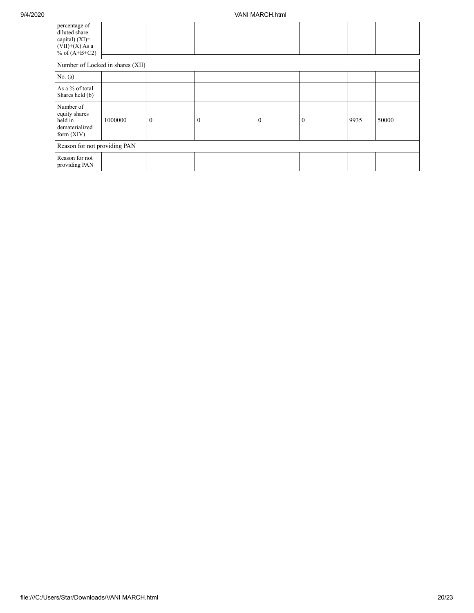| percentage of<br>diluted share<br>capital) (XI)=<br>$(VII)+(X)$ As a<br>% of $(A+B+C2)$ |         |                  |              |              |              |      |       |
|-----------------------------------------------------------------------------------------|---------|------------------|--------------|--------------|--------------|------|-------|
| Number of Locked in shares (XII)                                                        |         |                  |              |              |              |      |       |
| No. (a)                                                                                 |         |                  |              |              |              |      |       |
| As a % of total<br>Shares held (b)                                                      |         |                  |              |              |              |      |       |
| Number of<br>equity shares<br>held in<br>dematerialized<br>form $(XIV)$                 | 1000000 | $\boldsymbol{0}$ | $\mathbf{0}$ | $\mathbf{0}$ | $\mathbf{0}$ | 9935 | 50000 |
| Reason for not providing PAN                                                            |         |                  |              |              |              |      |       |
| Reason for not<br>providing PAN                                                         |         |                  |              |              |              |      |       |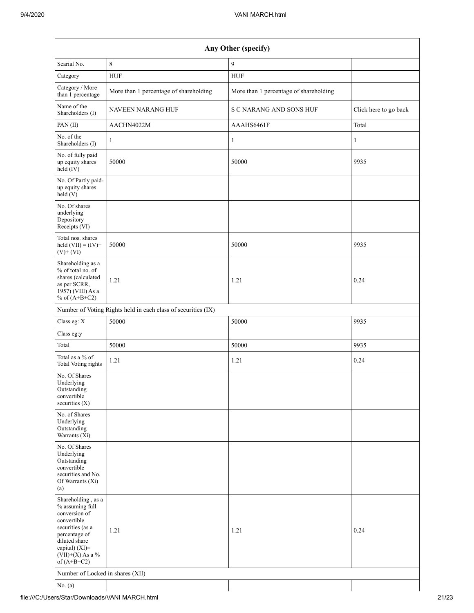| Any Other (specify)                                                                                                                                                                  |                                                               |                                        |                       |  |  |  |  |  |
|--------------------------------------------------------------------------------------------------------------------------------------------------------------------------------------|---------------------------------------------------------------|----------------------------------------|-----------------------|--|--|--|--|--|
| Searial No.                                                                                                                                                                          | 8                                                             | 9                                      |                       |  |  |  |  |  |
| Category                                                                                                                                                                             | <b>HUF</b>                                                    | <b>HUF</b>                             |                       |  |  |  |  |  |
| Category / More<br>than 1 percentage                                                                                                                                                 | More than 1 percentage of shareholding                        | More than 1 percentage of shareholding |                       |  |  |  |  |  |
| Name of the<br>Shareholders (I)                                                                                                                                                      | NAVEEN NARANG HUF                                             | S C NARANG AND SONS HUF                | Click here to go back |  |  |  |  |  |
| PAN(II)                                                                                                                                                                              | AACHN4022M                                                    | AAAHS6461F                             | Total                 |  |  |  |  |  |
| No. of the<br>Shareholders (I)                                                                                                                                                       | 1                                                             | $\mathbf{1}$                           | $\mathbf{1}$          |  |  |  |  |  |
| No. of fully paid<br>up equity shares<br>$held$ (IV)                                                                                                                                 | 50000                                                         | 50000                                  | 9935                  |  |  |  |  |  |
| No. Of Partly paid-<br>up equity shares<br>held $(V)$                                                                                                                                |                                                               |                                        |                       |  |  |  |  |  |
| No. Of shares<br>underlying<br>Depository<br>Receipts (VI)                                                                                                                           |                                                               |                                        |                       |  |  |  |  |  |
| Total nos. shares<br>held $(VII) = (IV) +$<br>$(V)$ + $(VI)$                                                                                                                         | 50000                                                         | 50000                                  | 9935                  |  |  |  |  |  |
| Shareholding as a<br>% of total no. of<br>shares (calculated<br>as per SCRR,<br>1957) (VIII) As a<br>% of $(A+B+C2)$                                                                 | 1.21                                                          | 1.21                                   | 0.24                  |  |  |  |  |  |
|                                                                                                                                                                                      | Number of Voting Rights held in each class of securities (IX) |                                        |                       |  |  |  |  |  |
| Class eg: X                                                                                                                                                                          | 50000                                                         | 50000                                  | 9935                  |  |  |  |  |  |
| Class eg:y                                                                                                                                                                           |                                                               |                                        |                       |  |  |  |  |  |
| Total                                                                                                                                                                                | 50000                                                         | 50000                                  | 9935                  |  |  |  |  |  |
| Total as a % of<br><b>Total Voting rights</b>                                                                                                                                        | 1.21                                                          | 1.21                                   | 0.24                  |  |  |  |  |  |
| No. Of Shares<br>Underlying<br>Outstanding<br>convertible<br>securities $(X)$                                                                                                        |                                                               |                                        |                       |  |  |  |  |  |
| No. of Shares<br>Underlying<br>Outstanding<br>Warrants (Xi)                                                                                                                          |                                                               |                                        |                       |  |  |  |  |  |
| No. Of Shares<br>Underlying<br>Outstanding<br>convertible<br>securities and No.<br>Of Warrants (Xi)<br>(a)                                                                           |                                                               |                                        |                       |  |  |  |  |  |
| Shareholding, as a<br>% assuming full<br>conversion of<br>convertible<br>securities (as a<br>percentage of<br>diluted share<br>capital) (XI)=<br>$(VII)+(X)$ As a %<br>of $(A+B+C2)$ | 1.21                                                          | 1.21                                   | 0.24                  |  |  |  |  |  |
| Number of Locked in shares (XII)                                                                                                                                                     |                                                               |                                        |                       |  |  |  |  |  |
| No. $(a)$                                                                                                                                                                            |                                                               |                                        |                       |  |  |  |  |  |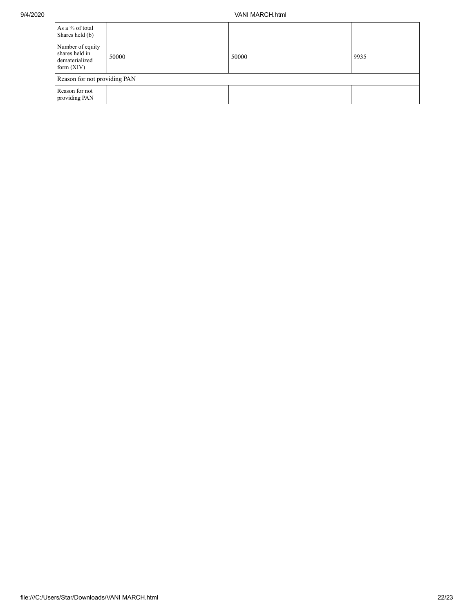## 9/4/2020 VANI MARCH.html

| As a % of total<br>Shares held (b)                                   |       |       |      |
|----------------------------------------------------------------------|-------|-------|------|
| Number of equity<br>shares held in<br>dematerialized<br>form $(XIV)$ | 50000 | 50000 | 9935 |
| Reason for not providing PAN                                         |       |       |      |
| Reason for not<br>providing PAN                                      |       |       |      |